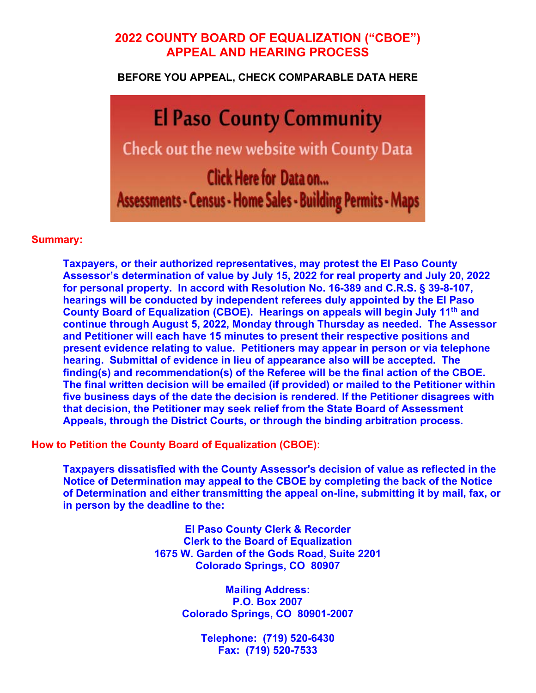# **2022 COUNTY BOARD OF EQUALIZATION ("CBOE") APPEAL AND HEARING PROCESS**

**BEFORE YOU APPEAL, CHECK COMPARABLE DATA HERE** 

**El Paso County Community** Check out the new website with County Data Click Here for Data on... Assessments - Census - Home Sales - Building Permits - Maps

## **Summary:**

**Taxpayers, or their authorized representatives, may protest the El Paso County Assessor's determination of value by July 15, 2022 for real property and July 20, 2022 for personal property. In accord with Resolution No. 16-389 and C.R.S. § 39-8-107, hearings will be conducted by independent referees duly appointed by the El Paso County Board of Equalization (CBOE). Hearings on appeals will begin July 11th and continue through August 5, 2022, Monday through Thursday as needed. The Assessor and Petitioner will each have 15 minutes to present their respective positions and present evidence relating to value. Petitioners may appear in person or via telephone hearing. Submittal of evidence in lieu of appearance also will be accepted. The finding(s) and recommendation(s) of the Referee will be the final action of the CBOE. The final written decision will be emailed (if provided) or mailed to the Petitioner within five business days of the date the decision is rendered. If the Petitioner disagrees with that decision, the Petitioner may seek relief from the State Board of Assessment Appeals, through the District Courts, or through the binding arbitration process.** 

**How to Petition the County Board of Equalization (CBOE):** 

**Taxpayers dissatisfied with the County Assessor's decision of value as reflected in the Notice of Determination may appeal to the CBOE by completing the back of the Notice of Determination and either transmitting the appeal on-line, submitting it by mail, fax, or in person by the deadline to the:** 

> **El Paso County Clerk & Recorder Clerk to the Board of Equalization 1675 W. Garden of the Gods Road, Suite 2201 Colorado Springs, CO 80907**

> > **Mailing Address: P.O. Box 2007 Colorado Springs, CO 80901-2007**

> > > **Telephone: (719) 520-6430 Fax: (719) 520-7533**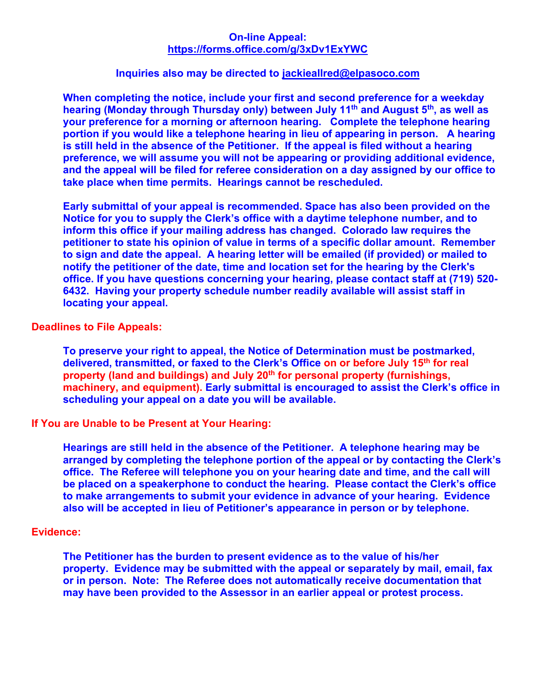### **On-line Appeal: https://forms.office.com/g/3xDv1ExYWC**

#### **Inquiries also may be directed to jackieallred@elpasoco.com**

**When completing the notice, include your first and second preference for a weekday**  hearing (Monday through Thursday only) between July 11<sup>th</sup> and August 5<sup>th</sup>, as well as **your preference for a morning or afternoon hearing. Complete the telephone hearing portion if you would like a telephone hearing in lieu of appearing in person. A hearing is still held in the absence of the Petitioner. If the appeal is filed without a hearing preference, we will assume you will not be appearing or providing additional evidence, and the appeal will be filed for referee consideration on a day assigned by our office to take place when time permits. Hearings cannot be rescheduled.** 

**Early submittal of your appeal is recommended. Space has also been provided on the Notice for you to supply the Clerk's office with a daytime telephone number, and to inform this office if your mailing address has changed. Colorado law requires the petitioner to state his opinion of value in terms of a specific dollar amount. Remember to sign and date the appeal. A hearing letter will be emailed (if provided) or mailed to notify the petitioner of the date, time and location set for the hearing by the Clerk's office. If you have questions concerning your hearing, please contact staff at (719) 520- 6432. Having your property schedule number readily available will assist staff in locating your appeal.** 

### **Deadlines to File Appeals:**

**To preserve your right to appeal, the Notice of Determination must be postmarked, delivered, transmitted, or faxed to the Clerk's Office on or before July 15th for real property (land and buildings) and July 20th for personal property (furnishings, machinery, and equipment). Early submittal is encouraged to assist the Clerk's office in scheduling your appeal on a date you will be available.** 

## **If You are Unable to be Present at Your Hearing:**

**Hearings are still held in the absence of the Petitioner. A telephone hearing may be arranged by completing the telephone portion of the appeal or by contacting the Clerk's office. The Referee will telephone you on your hearing date and time, and the call will be placed on a speakerphone to conduct the hearing. Please contact the Clerk's office to make arrangements to submit your evidence in advance of your hearing. Evidence also will be accepted in lieu of Petitioner's appearance in person or by telephone.** 

#### **Evidence:**

**The Petitioner has the burden to present evidence as to the value of his/her property. Evidence may be submitted with the appeal or separately by mail, email, fax or in person. Note: The Referee does not automatically receive documentation that may have been provided to the Assessor in an earlier appeal or protest process.**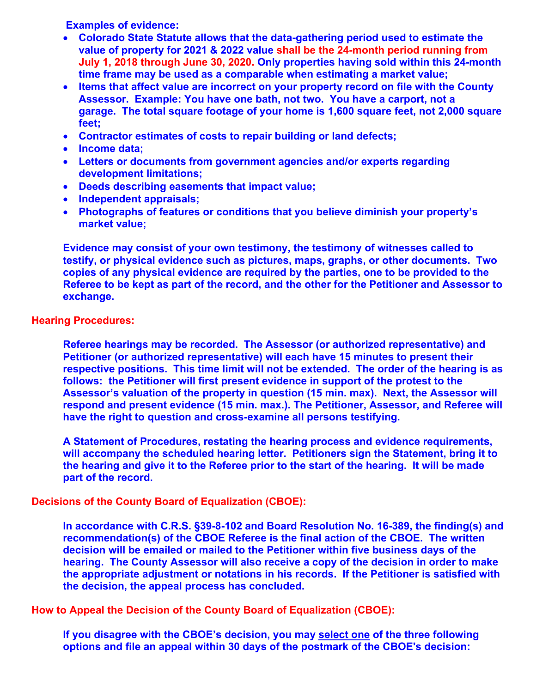**Examples of evidence:** 

- **Colorado State Statute allows that the data-gathering period used to estimate the value of property for 2021 & 2022 value shall be the 24-month period running from July 1, 2018 through June 30, 2020. Only properties having sold within this 24-month time frame may be used as a comparable when estimating a market value;**
- **Items that affect value are incorrect on your property record on file with the County Assessor. Example: You have one bath, not two. You have a carport, not a garage. The total square footage of your home is 1,600 square feet, not 2,000 square feet;**
- **Contractor estimates of costs to repair building or land defects;**
- **Income data;**
- **Letters or documents from government agencies and/or experts regarding development limitations;**
- **Deeds describing easements that impact value;**
- **Independent appraisals;**
- **Photographs of features or conditions that you believe diminish your property's market value;**

**Evidence may consist of your own testimony, the testimony of witnesses called to testify, or physical evidence such as pictures, maps, graphs, or other documents. Two copies of any physical evidence are required by the parties, one to be provided to the Referee to be kept as part of the record, and the other for the Petitioner and Assessor to exchange.** 

**Hearing Procedures:** 

**Referee hearings may be recorded. The Assessor (or authorized representative) and Petitioner (or authorized representative) will each have 15 minutes to present their respective positions. This time limit will not be extended. The order of the hearing is as follows: the Petitioner will first present evidence in support of the protest to the Assessor's valuation of the property in question (15 min. max). Next, the Assessor will respond and present evidence (15 min. max.). The Petitioner, Assessor, and Referee will have the right to question and cross-examine all persons testifying.** 

**A Statement of Procedures, restating the hearing process and evidence requirements, will accompany the scheduled hearing letter. Petitioners sign the Statement, bring it to the hearing and give it to the Referee prior to the start of the hearing. It will be made part of the record.** 

**Decisions of the County Board of Equalization (CBOE):** 

**In accordance with C.R.S. §39-8-102 and Board Resolution No. 16-389, the finding(s) and recommendation(s) of the CBOE Referee is the final action of the CBOE. The written decision will be emailed or mailed to the Petitioner within five business days of the hearing. The County Assessor will also receive a copy of the decision in order to make the appropriate adjustment or notations in his records. If the Petitioner is satisfied with the decision, the appeal process has concluded.** 

**How to Appeal the Decision of the County Board of Equalization (CBOE):** 

**If you disagree with the CBOE's decision, you may select one of the three following options and file an appeal within 30 days of the postmark of the CBOE's decision:**